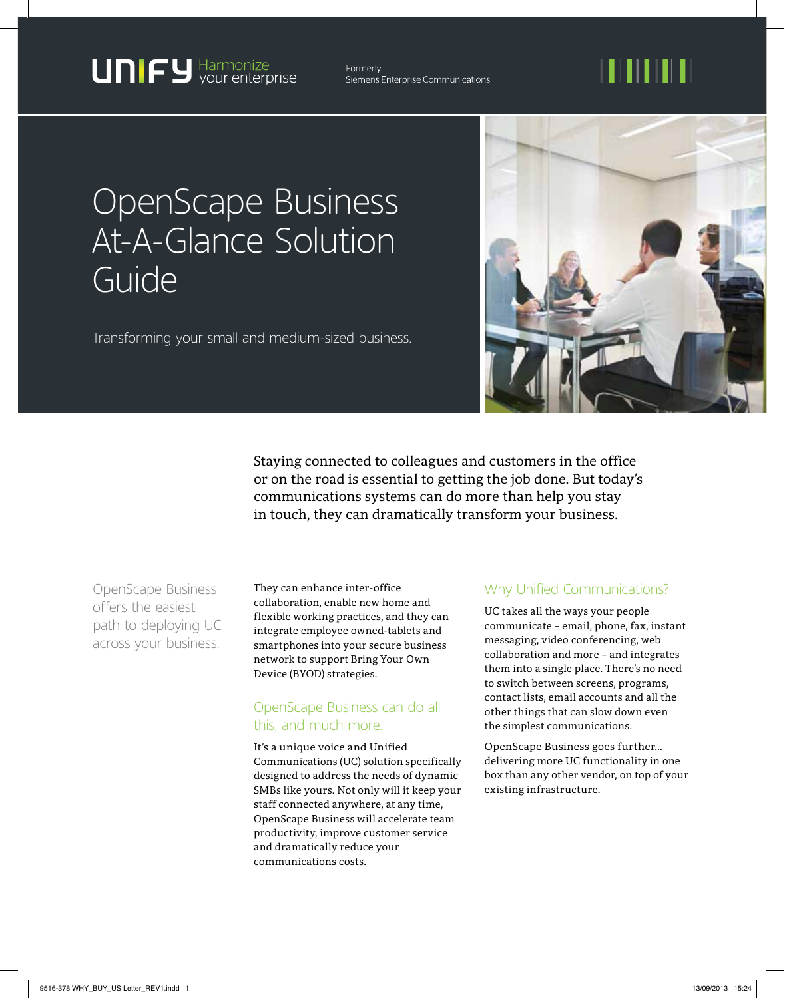**UNIFY** Harmonize

Formerly Siemens Enterprise Communications

## 11 I II I I I

### OpenScape Business At-A-Glance Solution Guide

Transforming your small and medium-sized business.



Staying connected to colleagues and customers in the office or on the road is essential to getting the job done. But today's communications systems can do more than help you stay in touch, they can dramatically transform your business.

OpenScape Business offers the easiest path to deploying UC across your business.

They can enhance inter-office collaboration, enable new home and flexible working practices, and they can integrate employee owned-tablets and smartphones into your secure business network to support Bring Your Own Device (BYOD) strategies.

#### OpenScape Business can do all this, and much more.

It's a unique voice and Unified Communications (UC) solution specifically designed to address the needs of dynamic SMBs like yours. Not only will it keep your staff connected anywhere, at any time, OpenScape Business will accelerate team productivity, improve customer service and dramatically reduce your communications costs.

#### Why Unified Communications?

UC takes all the ways your people communicate – email, phone, fax, instant messaging, video conferencing, web collaboration and more – and integrates them into a single place. There's no need to switch between screens, programs, contact lists, email accounts and all the other things that can slow down even the simplest communications.

OpenScape Business goes further… delivering more UC functionality in one box than any other vendor, on top of your existing infrastructure.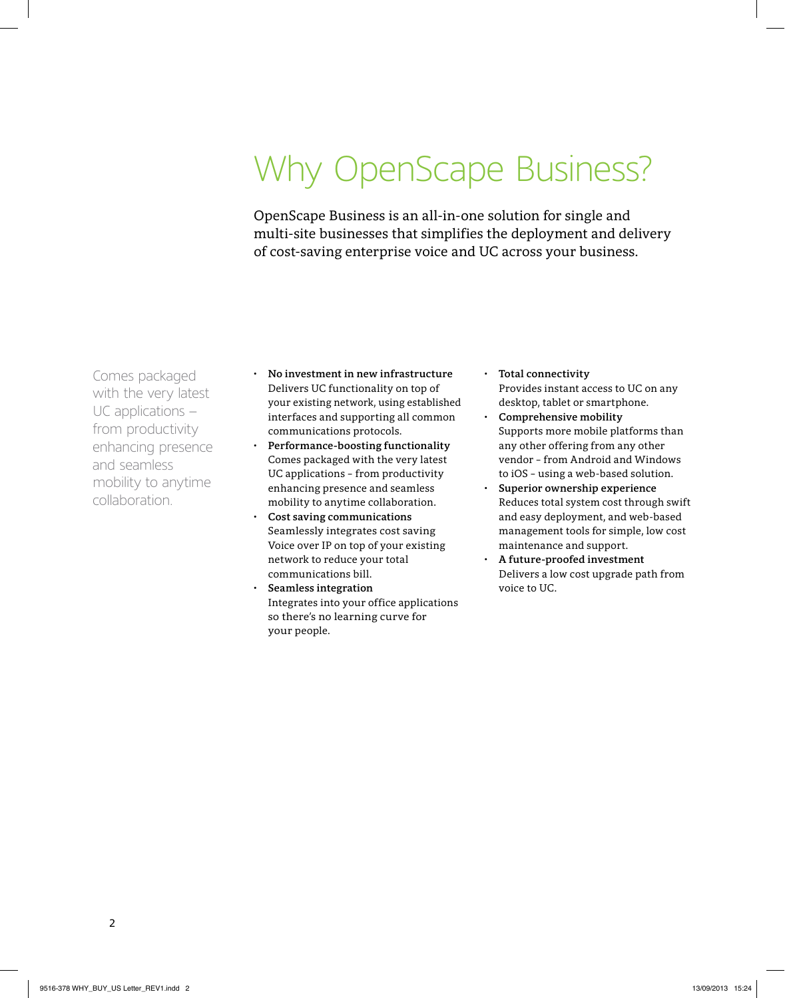# Why OpenScape Business?

OpenScape Business is an all-in-one solution for single and multi-site businesses that simplifies the deployment and delivery of cost-saving enterprise voice and UC across your business.

Comes packaged with the very latest UC applications – from productivity enhancing presence and seamless mobility to anytime collaboration.

- • **No investment in new infrastructure**  Delivers UC functionality on top of your existing network, using established interfaces and supporting all common communications protocols.
- **Performance-boosting functionality** Comes packaged with the very latest UC applications – from productivity enhancing presence and seamless mobility to anytime collaboration.
- **Cost saving communications** Seamlessly integrates cost saving Voice over IP on top of your existing network to reduce your total communications bill.
- **Seamless integration** Integrates into your office applications so there's no learning curve for your people.
- • **Total connectivity** Provides instant access to UC on any desktop, tablet or smartphone.
- • **Comprehensive mobility** Supports more mobile platforms than any other offering from any other vendor – from Android and Windows to iOS – using a web-based solution.
- • **Superior ownership experience** Reduces total system cost through swift and easy deployment, and web-based management tools for simple, low cost maintenance and support.
- • **A future-proofed investment** Delivers a low cost upgrade path from voice to UC.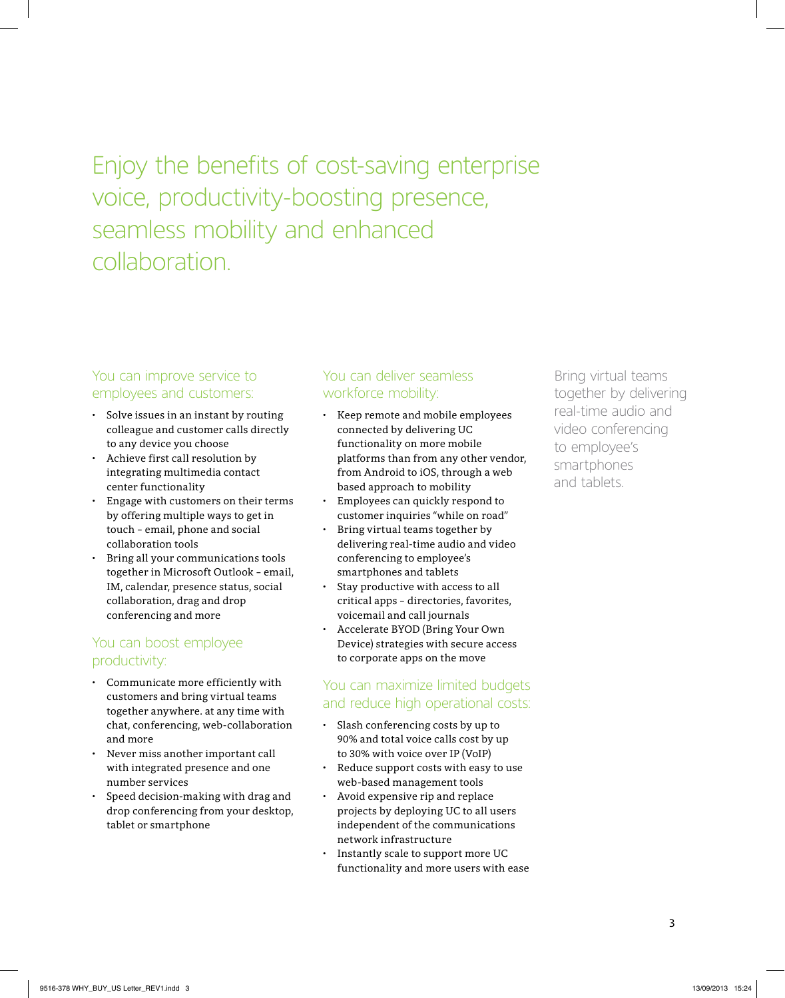### Enjoy the benefits of cost-saving enterprise voice, productivity-boosting presence, seamless mobility and enhanced collaboration.

#### You can improve service to employees and customers:

- • Solve issues in an instant by routing colleague and customer calls directly to any device you choose
- Achieve first call resolution by integrating multimedia contact center functionality
- Engage with customers on their terms by offering multiple ways to get in touch – email, phone and social collaboration tools
- Bring all your communications tools together in Microsoft Outlook – email, IM, calendar, presence status, social collaboration, drag and drop conferencing and more

#### You can boost employee productivity:

- • Communicate more efficiently with customers and bring virtual teams together anywhere. at any time with chat, conferencing, web-collaboration and more
- Never miss another important call with integrated presence and one number services
- Speed decision-making with drag and drop conferencing from your desktop, tablet or smartphone

### You can deliver seamless workforce mobility:

- • Keep remote and mobile employees connected by delivering UC functionality on more mobile platforms than from any other vendor, from Android to iOS, through a web based approach to mobility
- Employees can quickly respond to customer inquiries "while on road"
- Bring virtual teams together by delivering real-time audio and video conferencing to employee's smartphones and tablets
- Stay productive with access to all critical apps – directories, favorites, voicemail and call journals
- Accelerate BYOD (Bring Your Own Device) strategies with secure access to corporate apps on the move

#### You can maximize limited budgets and reduce high operational costs:

- • Slash conferencing costs by up to 90% and total voice calls cost by up to 30% with voice over IP (VoIP)
- Reduce support costs with easy to use web-based management tools
- Avoid expensive rip and replace projects by deploying UC to all users independent of the communications network infrastructure
- Instantly scale to support more UC functionality and more users with ease

Bring virtual teams together by delivering real-time audio and video conferencing to employee's smartphones and tablets.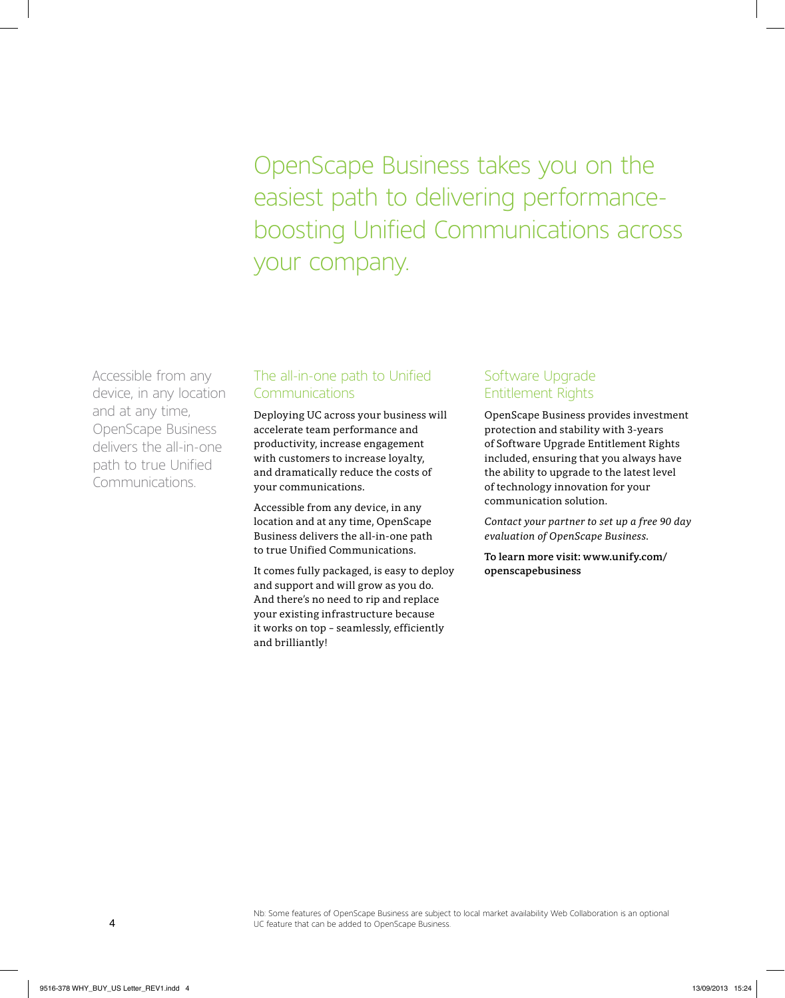OpenScape Business takes you on the easiest path to delivering performanceboosting Unified Communications across your company.

Accessible from any device, in any location and at any time, OpenScape Business delivers the all-in-one path to true Unified Communications.

#### The all-in-one path to Unified **Communications**

Deploying UC across your business will accelerate team performance and productivity, increase engagement with customers to increase loyalty, and dramatically reduce the costs of your communications.

Accessible from any device, in any location and at any time, OpenScape Business delivers the all-in-one path to true Unified Communications.

It comes fully packaged, is easy to deploy and support and will grow as you do. And there's no need to rip and replace your existing infrastructure because it works on top – seamlessly, efficiently and brilliantly!

#### Software Upgrade Entitlement Rights

OpenScape Business provides investment protection and stability with 3-years of Software Upgrade Entitlement Rights included, ensuring that you always have the ability to upgrade to the latest level of technology innovation for your communication solution.

*Contact your partner to set up a free 90 day evaluation of OpenScape Business.*

**To learn more visit: www.unify.com/ openscapebusiness**

Nb: Some features of OpenScape Business are subject to local market availability Web Collaboration is an optional UC feature that can be added to OpenScape Business.